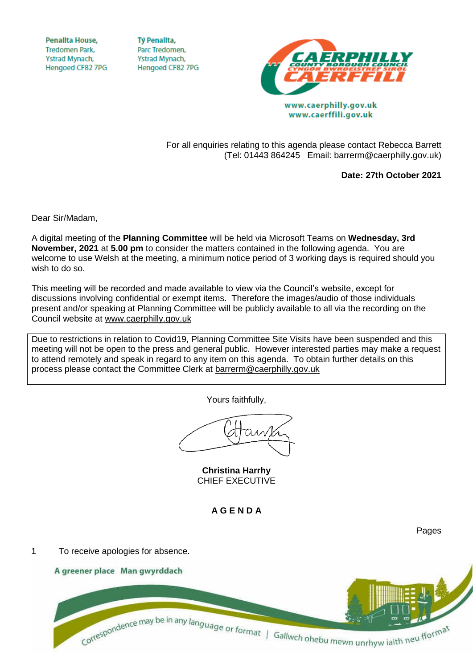**Penallta House, Tredomen Park.** Ystrad Mynach, Hengoed CF82 7PG

**TV Penallta,** Parc Tredomen. Ystrad Mynach, Hengoed CF82 7PG



www.caerffili.gov.uk

For all enquiries relating to this agenda please contact Rebecca Barrett (Tel: 01443 864245 Email: barrerm@caerphilly.gov.uk)

**Date: 27th October 2021**

Dear Sir/Madam,

A digital meeting of the **Planning Committee** will be held via Microsoft Teams on **Wednesday, 3rd November, 2021** at **5.00 pm** to consider the matters contained in the following agenda. You are welcome to use Welsh at the meeting, a minimum notice period of 3 working days is required should you wish to do so.

This meeting will be recorded and made available to view via the Council's website, except for discussions involving confidential or exempt items. Therefore the images/audio of those individuals present and/or speaking at Planning Committee will be publicly available to all via the recording on the Council website at [www.caerphilly.gov.uk](http://www.caerphilly.gov.uk/)

Due to restrictions in relation to Covid19, Planning Committee Site Visits have been suspended and this meeting will not be open to the press and general public. However interested parties may make a request to attend remotely and speak in regard to any item on this agenda. To obtain further details on this process please contact the Committee Clerk at [barrerm@caerphilly.gov.uk](mailto:barrerm@caerphilly.gov.uk)

Yours faithfully,

**Christina Harrhy** CHIEF EXECUTIVE

**A G E N D A**